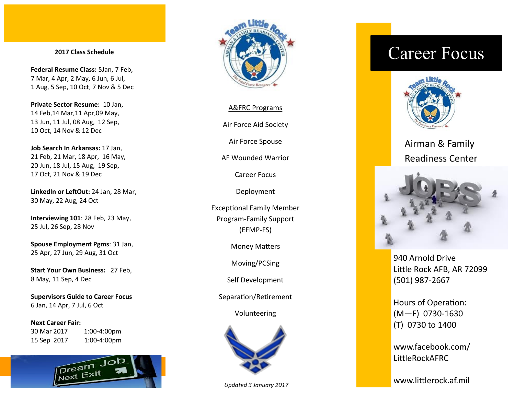#### **2017 Class Schedule**

**Federal Resume Class:** 5Jan, 7 Feb, 7 Mar, 4 Apr, 2 May, 6 Jun, 6 Jul, 1 Aug, 5 Sep, 10 Oct, 7 Nov & 5 Dec

**Private Sector Resume:** 10 Jan, 14 Feb,14 Mar,11 Apr,09 May, 13 Jun, 11 Jul, 08 Aug, 12 Sep, 10 Oct, 14 Nov & 12 Dec

**Job Search In Arkansas:** 17 Jan, 21 Feb, 21 Mar, 18 Apr, 16 May, 20 Jun, 18 Jul, 15 Aug, 19 Sep, 17 Oct, 21 Nov & 19 Dec

**LinkedIn or LeftOut:** 24 Jan, 28 Mar, 30 May, 22 Aug, 24 Oct

**Interviewing 101**: 28 Feb, 23 May, 25 Jul, 26 Sep, 28 Nov

**Spouse Employment Pgms**: 31 Jan, 25 Apr, 27 Jun, 29 Aug, 31 Oct

**Start Your Own Business:** 27 Feb, 8 May, 11 Sep, 4 Dec

**Supervisors Guide to Career Focus** 6 Jan, 14 Apr, 7 Jul, 6 Oct

**Next Career Fair:** 30 Mar 2017 1:00-4:00pm 15 Sep 2017 1:00-4:00pm





#### A&FRC Programs

Air Force Aid Society

Air Force Spouse

AF Wounded Warrior

Career Focus

Deployment

Exceptional Family Member Program-Family Support (EFMP-FS)

Money Matters

Moving/PCSing

Self Development

Separation/Retirement

Volunteering



#### *Updated 3 January 2017*

# Career Focus



Airman & Family Readiness Center



940 Arnold Drive Little Rock AFB, AR 72099 (501) 987-2667

Hours of Operation: (M—F) 0730-1630 (T) 0730 to 1400

www.facebook.com/ LittleRockAFRC

www.littlerock.af.mil